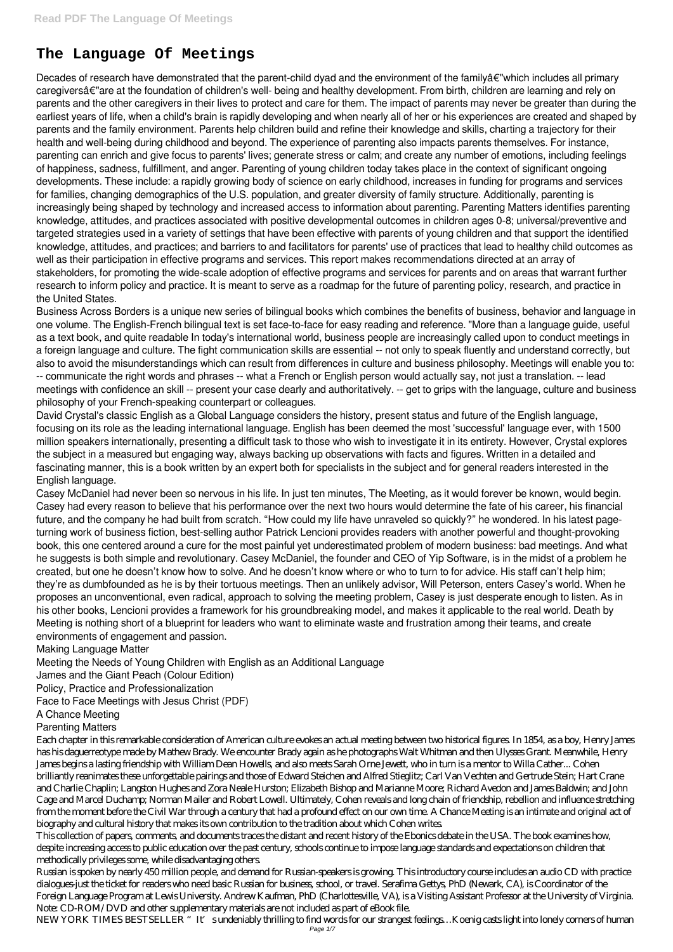## **The Language Of Meetings**

Decades of research have demonstrated that the parent-child dyad and the environment of the familyâ€"which includes all primary caregiversâ€"are at the foundation of children's well- being and healthy development. From birth, children are learning and rely on parents and the other caregivers in their lives to protect and care for them. The impact of parents may never be greater than during the earliest years of life, when a child's brain is rapidly developing and when nearly all of her or his experiences are created and shaped by parents and the family environment. Parents help children build and refine their knowledge and skills, charting a trajectory for their health and well-being during childhood and beyond. The experience of parenting also impacts parents themselves. For instance, parenting can enrich and give focus to parents' lives; generate stress or calm; and create any number of emotions, including feelings of happiness, sadness, fulfillment, and anger. Parenting of young children today takes place in the context of significant ongoing developments. These include: a rapidly growing body of science on early childhood, increases in funding for programs and services for families, changing demographics of the U.S. population, and greater diversity of family structure. Additionally, parenting is increasingly being shaped by technology and increased access to information about parenting. Parenting Matters identifies parenting knowledge, attitudes, and practices associated with positive developmental outcomes in children ages 0-8; universal/preventive and targeted strategies used in a variety of settings that have been effective with parents of young children and that support the identified knowledge, attitudes, and practices; and barriers to and facilitators for parents' use of practices that lead to healthy child outcomes as well as their participation in effective programs and services. This report makes recommendations directed at an array of stakeholders, for promoting the wide-scale adoption of effective programs and services for parents and on areas that warrant further research to inform policy and practice. It is meant to serve as a roadmap for the future of parenting policy, research, and practice in the United States.

Business Across Borders is a unique new series of bilingual books which combines the benefits of business, behavior and language in one volume. The English-French bilingual text is set face-to-face for easy reading and reference. "More than a language guide, useful as a text book, and quite readable In today's international world, business people are increasingly called upon to conduct meetings in a foreign language and culture. The fight communication skills are essential -- not only to speak fluently and understand correctly, but also to avoid the misunderstandings which can result from differences in culture and business philosophy. Meetings will enable you to: -- communicate the right words and phrases -- what a French or English person would actually say, not just a translation. -- lead meetings with confidence an skill -- present your case dearly and authoritatively. -- get to grips with the language, culture and business philosophy of your French-speaking counterpart or colleagues.

David Crystal's classic English as a Global Language considers the history, present status and future of the English language, focusing on its role as the leading international language. English has been deemed the most 'successful' language ever, with 1500 million speakers internationally, presenting a difficult task to those who wish to investigate it in its entirety. However, Crystal explores the subject in a measured but engaging way, always backing up observations with facts and figures. Written in a detailed and fascinating manner, this is a book written by an expert both for specialists in the subject and for general readers interested in the English language.

NEW YORK TIMES BESTSELLER "It's undeniably thrilling to find words for our strangest feelings.. Koenig casts light into lonely corners of human Page 1/7

Casey McDaniel had never been so nervous in his life. In just ten minutes, The Meeting, as it would forever be known, would begin. Casey had every reason to believe that his performance over the next two hours would determine the fate of his career, his financial future, and the company he had built from scratch. "How could my life have unraveled so quickly?" he wondered. In his latest pageturning work of business fiction, best-selling author Patrick Lencioni provides readers with another powerful and thought-provoking book, this one centered around a cure for the most painful yet underestimated problem of modern business: bad meetings. And what he suggests is both simple and revolutionary. Casey McDaniel, the founder and CEO of Yip Software, is in the midst of a problem he created, but one he doesn't know how to solve. And he doesn't know where or who to turn to for advice. His staff can't help him; they're as dumbfounded as he is by their tortuous meetings. Then an unlikely advisor, Will Peterson, enters Casey's world. When he proposes an unconventional, even radical, approach to solving the meeting problem, Casey is just desperate enough to listen. As in his other books, Lencioni provides a framework for his groundbreaking model, and makes it applicable to the real world. Death by Meeting is nothing short of a blueprint for leaders who want to eliminate waste and frustration among their teams, and create environments of engagement and passion.

Making Language Matter

Meeting the Needs of Young Children with English as an Additional Language

James and the Giant Peach (Colour Edition)

Policy, Practice and Professionalization

Face to Face Meetings with Jesus Christ (PDF)

A Chance Meeting

Parenting Matters

Each chapter in this remarkable consideration of American culture evokes an actual meeting between two historical figures. In 1854, as a boy, Henry James has his daguerreotype made by Mathew Brady. We encounter Brady again as he photographs Walt Whitman and then Ulysses Grant. Meanwhile, Henry James begins a lasting friendship with William Dean Howells, and also meets Sarah Orne Jewett, who in turn is a mentor to Willa Cather... Cohen brilliantly reanimates these unforgettable pairings and those of Edward Steichen and Alfred Stieglitz; Carl Van Vechten and Gertrude Stein; Hart Crane and Charlie Chaplin; Langston Hughes and Zora Neale Hurston; Elizabeth Bishop and Marianne Moore; Richard Avedon and James Baldwin; and John Cage and Marcel Duchamp; Norman Mailer and Robert Lowell. Ultimately, Cohen reveals and long chain of friendship, rebellion and influence stretching from the moment before the Civil War through a century that had a profound effect on our own time. A Chance Meeting is an intimate and original act of biography and cultural history that makes its own contribution to the tradition about which Cohen writes.

This collection of papers, comments, and documents traces the distant and recent history of the Ebonics debate in the USA. The book examines how, despite increasing access to public education over the past century, schools continue to impose language standards and expectations on children that methodically privileges some, while disadvantaging others.

Russian is spoken by nearly 450 million people, and demand for Russian-speakers is growing. This introductory course includes an audio CD with practice dialogues-just the ticket for readers who need basic Russian for business, school, or travel. Serafima Gettys, PhD (Newark, CA), is Coordinator of the Foreign Language Program at Lewis University. Andrew Kaufman, PhD (Charlottesville, VA), is a Visiting Assistant Professor at the University of Virginia. Note: CD-ROM/DVD and other supplementary materials are not included as part of eBook file.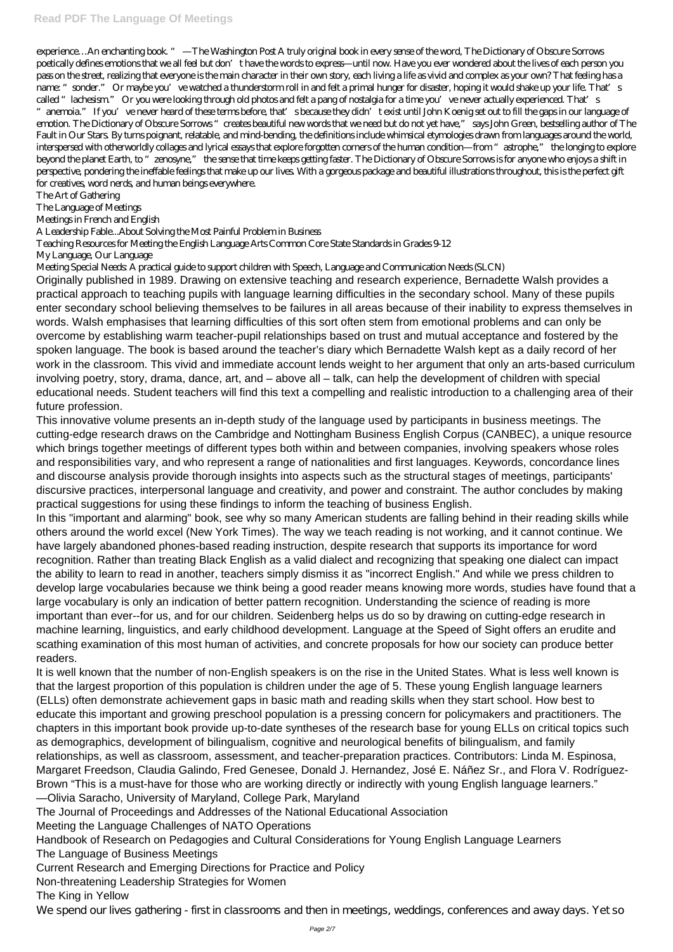experience…An enchanting book. " —The Washington Post A truly original book in every sense of the word, The Dictionary of Obscure Sorrows poetically defines emotions that we all feel but don't have the words to express—until now. Have you ever wondered about the lives of each person you pass on the street, realizing that everyone is the main character in their own story, each living a life as vivid and complex as your own? That feeling has a name: "sonder." Or maybe you've watched a thunderstorm roll in and felt a primal hunger for disaster, hoping it would shake up your life. That's called "lachesism" Or you were looking through old photos and felt a pang of nostalgia for a time you've never actually experienced. That's anemoia." If you've never heard of these terms before, that's because they didn't exist until John Koenig set out to fill the gaps in our language of emotion. The Dictionary of Obscure Sorrows "creates beautiful new words that we need but do not yet have," says John Green, bestselling author of The Fault in Our Stars. By turns poignant, relatable, and mind-bending, the definitions include whimsical etymologies drawn from languages around the world, interspersed with otherworldly collages and lyrical essays that explore forgotten corners of the human condition—from "astrophe," the longing to explore beyond the planet Earth, to "zenosyne," the sense that time keeps getting faster. The Dictionary of Obscure Sorrows is for anyone who enjoys a shift in perspective, pondering the ineffable feelings that make up our lives. With a gorgeous package and beautiful illustrations throughout, this is the perfect gift for creatives, word nerds, and human beings everywhere.

The Art of Gathering

The Language of Meetings

Meetings in French and English

A Leadership Fable...About Solving the Most Painful Problem in Business

Teaching Resources for Meeting the English Language Arts Common Core State Standards in Grades 9-12

My Language, Our Language

Meeting Special Needs: A practical guide to support children with Speech, Language and Communication Needs (SLCN)

Originally published in 1989. Drawing on extensive teaching and research experience, Bernadette Walsh provides a practical approach to teaching pupils with language learning difficulties in the secondary school. Many of these pupils enter secondary school believing themselves to be failures in all areas because of their inability to express themselves in words. Walsh emphasises that learning difficulties of this sort often stem from emotional problems and can only be overcome by establishing warm teacher-pupil relationships based on trust and mutual acceptance and fostered by the spoken language. The book is based around the teacher's diary which Bernadette Walsh kept as a daily record of her work in the classroom. This vivid and immediate account lends weight to her argument that only an arts-based curriculum involving poetry, story, drama, dance, art, and – above all – talk, can help the development of children with special educational needs. Student teachers will find this text a compelling and realistic introduction to a challenging area of their future profession.

This innovative volume presents an in-depth study of the language used by participants in business meetings. The cutting-edge research draws on the Cambridge and Nottingham Business English Corpus (CANBEC), a unique resource which brings together meetings of different types both within and between companies, involving speakers whose roles and responsibilities vary, and who represent a range of nationalities and first languages. Keywords, concordance lines and discourse analysis provide thorough insights into aspects such as the structural stages of meetings, participants' discursive practices, interpersonal language and creativity, and power and constraint. The author concludes by making practical suggestions for using these findings to inform the teaching of business English.

In this "important and alarming" book, see why so many American students are falling behind in their reading skills while others around the world excel (New York Times). The way we teach reading is not working, and it cannot continue. We have largely abandoned phones-based reading instruction, despite research that supports its importance for word recognition. Rather than treating Black English as a valid dialect and recognizing that speaking one dialect can impact the ability to learn to read in another, teachers simply dismiss it as "incorrect English." And while we press children to develop large vocabularies because we think being a good reader means knowing more words, studies have found that a large vocabulary is only an indication of better pattern recognition. Understanding the science of reading is more important than ever--for us, and for our children. Seidenberg helps us do so by drawing on cutting-edge research in machine learning, linguistics, and early childhood development. Language at the Speed of Sight offers an erudite and scathing examination of this most human of activities, and concrete proposals for how our society can produce better readers.

It is well known that the number of non-English speakers is on the rise in the United States. What is less well known is that the largest proportion of this population is children under the age of 5. These young English language learners (ELLs) often demonstrate achievement gaps in basic math and reading skills when they start school. How best to educate this important and growing preschool population is a pressing concern for policymakers and practitioners. The chapters in this important book provide up-to-date syntheses of the research base for young ELLs on critical topics such as demographics, development of bilingualism, cognitive and neurological benefits of bilingualism, and family relationships, as well as classroom, assessment, and teacher-preparation practices. Contributors: Linda M. Espinosa, Margaret Freedson, Claudia Galindo, Fred Genesee, Donald J. Hernandez, José E. Náñez Sr., and Flora V. Rodríguez-Brown "This is a must-have for those who are working directly or indirectly with young English language learners." —Olivia Saracho, University of Maryland, College Park, Maryland The Journal of Proceedings and Addresses of the National Educational Association Meeting the Language Challenges of NATO Operations Handbook of Research on Pedagogies and Cultural Considerations for Young English Language Learners

The Language of Business Meetings

Current Research and Emerging Directions for Practice and Policy

Non-threatening Leadership Strategies for Women

The King in Yellow

We spend our lives gathering - first in classrooms and then in meetings, weddings, conferences and away days. Yet so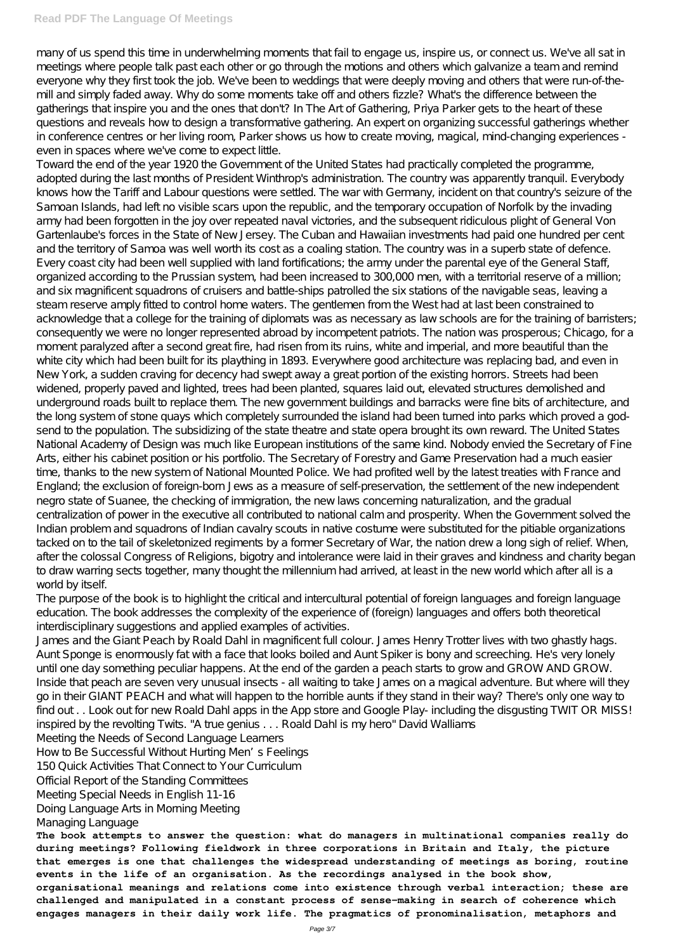many of us spend this time in underwhelming moments that fail to engage us, inspire us, or connect us. We've all sat in meetings where people talk past each other or go through the motions and others which galvanize a team and remind everyone why they first took the job. We've been to weddings that were deeply moving and others that were run-of-themill and simply faded away. Why do some moments take off and others fizzle? What's the difference between the gatherings that inspire you and the ones that don't? In The Art of Gathering, Priya Parker gets to the heart of these questions and reveals how to design a transformative gathering. An expert on organizing successful gatherings whether in conference centres or her living room, Parker shows us how to create moving, magical, mind-changing experiences even in spaces where we've come to expect little.

Toward the end of the year 1920 the Government of the United States had practically completed the programme, adopted during the last months of President Winthrop's administration. The country was apparently tranquil. Everybody knows how the Tariff and Labour questions were settled. The war with Germany, incident on that country's seizure of the Samoan Islands, had left no visible scars upon the republic, and the temporary occupation of Norfolk by the invading army had been forgotten in the joy over repeated naval victories, and the subsequent ridiculous plight of General Von Gartenlaube's forces in the State of New Jersey. The Cuban and Hawaiian investments had paid one hundred per cent and the territory of Samoa was well worth its cost as a coaling station. The country was in a superb state of defence. Every coast city had been well supplied with land fortifications; the army under the parental eye of the General Staff, organized according to the Prussian system, had been increased to 300,000 men, with a territorial reserve of a million; and six magnificent squadrons of cruisers and battle-ships patrolled the six stations of the navigable seas, leaving a steam reserve amply fitted to control home waters. The gentlemen from the West had at last been constrained to acknowledge that a college for the training of diplomats was as necessary as law schools are for the training of barristers; consequently we were no longer represented abroad by incompetent patriots. The nation was prosperous; Chicago, for a moment paralyzed after a second great fire, had risen from its ruins, white and imperial, and more beautiful than the white city which had been built for its plaything in 1893. Everywhere good architecture was replacing bad, and even in New York, a sudden craving for decency had swept away a great portion of the existing horrors. Streets had been widened, properly paved and lighted, trees had been planted, squares laid out, elevated structures demolished and underground roads built to replace them. The new government buildings and barracks were fine bits of architecture, and the long system of stone quays which completely surrounded the island had been turned into parks which proved a godsend to the population. The subsidizing of the state theatre and state opera brought its own reward. The United States National Academy of Design was much like European institutions of the same kind. Nobody envied the Secretary of Fine Arts, either his cabinet position or his portfolio. The Secretary of Forestry and Game Preservation had a much easier time, thanks to the new system of National Mounted Police. We had profited well by the latest treaties with France and England; the exclusion of foreign-born Jews as a measure of self-preservation, the settlement of the new independent negro state of Suanee, the checking of immigration, the new laws concerning naturalization, and the gradual centralization of power in the executive all contributed to national calm and prosperity. When the Government solved the Indian problem and squadrons of Indian cavalry scouts in native costume were substituted for the pitiable organizations tacked on to the tail of skeletonized regiments by a former Secretary of War, the nation drew a long sigh of relief. When, after the colossal Congress of Religions, bigotry and intolerance were laid in their graves and kindness and charity began to draw warring sects together, many thought the millennium had arrived, at least in the new world which after all is a world by itself.

The purpose of the book is to highlight the critical and intercultural potential of foreign languages and foreign language education. The book addresses the complexity of the experience of (foreign) languages and offers both theoretical interdisciplinary suggestions and applied examples of activities.

James and the Giant Peach by Roald Dahl in magnificent full colour. James Henry Trotter lives with two ghastly hags. Aunt Sponge is enormously fat with a face that looks boiled and Aunt Spiker is bony and screeching. He's very lonely until one day something peculiar happens. At the end of the garden a peach starts to grow and GROW AND GROW. Inside that peach are seven very unusual insects - all waiting to take James on a magical adventure. But where will they go in their GIANT PEACH and what will happen to the horrible aunts if they stand in their way? There's only one way to find out... Look out for new Roald Dahl apps in the App store and Google Play-including the disgusting TWIT OR MISS! inspired by the revolting Twits. "A true genius . . . Roald Dahl is my hero" David Walliams Meeting the Needs of Second Language Learners How to Be Successful Without Hurting Men's Feelings 150 Quick Activities That Connect to Your Curriculum Official Report of the Standing Committees Meeting Special Needs in English 11-16 Doing Language Arts in Morning Meeting Managing Language **The book attempts to answer the question: what do managers in multinational companies really do during meetings? Following fieldwork in three corporations in Britain and Italy, the picture that emerges is one that challenges the widespread understanding of meetings as boring, routine events in the life of an organisation. As the recordings analysed in the book show, organisational meanings and relations come into existence through verbal interaction; these are challenged and manipulated in a constant process of sense-making in search of coherence which engages managers in their daily work life. The pragmatics of pronominalisation, metaphors and**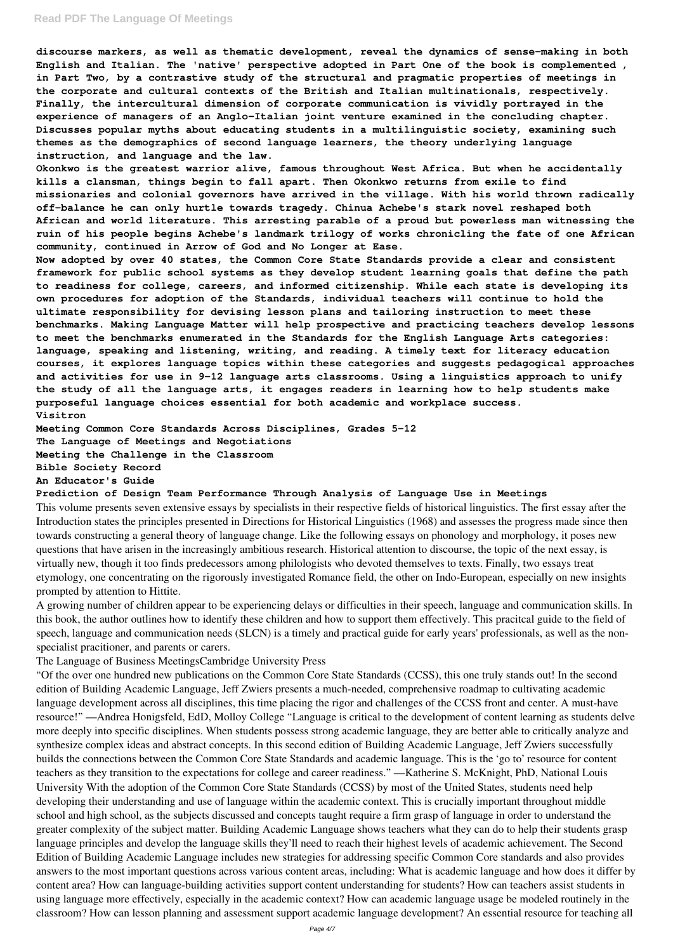## **Read PDF The Language Of Meetings**

**discourse markers, as well as thematic development, reveal the dynamics of sense-making in both English and Italian. The 'native' perspective adopted in Part One of the book is complemented , in Part Two, by a contrastive study of the structural and pragmatic properties of meetings in the corporate and cultural contexts of the British and Italian multinationals, respectively. Finally, the intercultural dimension of corporate communication is vividly portrayed in the experience of managers of an Anglo-Italian joint venture examined in the concluding chapter. Discusses popular myths about educating students in a multilinguistic society, examining such themes as the demographics of second language learners, the theory underlying language instruction, and language and the law.**

**Okonkwo is the greatest warrior alive, famous throughout West Africa. But when he accidentally kills a clansman, things begin to fall apart. Then Okonkwo returns from exile to find missionaries and colonial governors have arrived in the village. With his world thrown radically off-balance he can only hurtle towards tragedy. Chinua Achebe's stark novel reshaped both African and world literature. This arresting parable of a proud but powerless man witnessing the ruin of his people begins Achebe's landmark trilogy of works chronicling the fate of one African community, continued in Arrow of God and No Longer at Ease.**

**Now adopted by over 40 states, the Common Core State Standards provide a clear and consistent framework for public school systems as they develop student learning goals that define the path to readiness for college, careers, and informed citizenship. While each state is developing its own procedures for adoption of the Standards, individual teachers will continue to hold the ultimate responsibility for devising lesson plans and tailoring instruction to meet these benchmarks. Making Language Matter will help prospective and practicing teachers develop lessons to meet the benchmarks enumerated in the Standards for the English Language Arts categories: language, speaking and listening, writing, and reading. A timely text for literacy education courses, it explores language topics within these categories and suggests pedagogical approaches and activities for use in 9-12 language arts classrooms. Using a linguistics approach to unify the study of all the language arts, it engages readers in learning how to help students make purposeful language choices essential for both academic and workplace success. Visitron**

**Meeting Common Core Standards Across Disciplines, Grades 5-12 The Language of Meetings and Negotiations Meeting the Challenge in the Classroom**

**Bible Society Record**

**An Educator's Guide**

## **Prediction of Design Team Performance Through Analysis of Language Use in Meetings**

This volume presents seven extensive essays by specialists in their respective fields of historical linguistics. The first essay after the Introduction states the principles presented in Directions for Historical Linguistics (1968) and assesses the progress made since then towards constructing a general theory of language change. Like the following essays on phonology and morphology, it poses new questions that have arisen in the increasingly ambitious research. Historical attention to discourse, the topic of the next essay, is virtually new, though it too finds predecessors among philologists who devoted themselves to texts. Finally, two essays treat etymology, one concentrating on the rigorously investigated Romance field, the other on Indo-European, especially on new insights prompted by attention to Hittite.

A growing number of children appear to be experiencing delays or difficulties in their speech, language and communication skills. In this book, the author outlines how to identify these children and how to support them effectively. This pracitcal guide to the field of speech, language and communication needs (SLCN) is a timely and practical guide for early years' professionals, as well as the nonspecialist pracitioner, and parents or carers.

The Language of Business MeetingsCambridge University Press

"Of the over one hundred new publications on the Common Core State Standards (CCSS), this one truly stands out! In the second edition of Building Academic Language, Jeff Zwiers presents a much-needed, comprehensive roadmap to cultivating academic language development across all disciplines, this time placing the rigor and challenges of the CCSS front and center. A must-have resource!" —Andrea Honigsfeld, EdD, Molloy College "Language is critical to the development of content learning as students delve more deeply into specific disciplines. When students possess strong academic language, they are better able to critically analyze and synthesize complex ideas and abstract concepts. In this second edition of Building Academic Language, Jeff Zwiers successfully builds the connections between the Common Core State Standards and academic language. This is the 'go to' resource for content teachers as they transition to the expectations for college and career readiness." —Katherine S. McKnight, PhD, National Louis University With the adoption of the Common Core State Standards (CCSS) by most of the United States, students need help developing their understanding and use of language within the academic context. This is crucially important throughout middle school and high school, as the subjects discussed and concepts taught require a firm grasp of language in order to understand the greater complexity of the subject matter. Building Academic Language shows teachers what they can do to help their students grasp language principles and develop the language skills they'll need to reach their highest levels of academic achievement. The Second Edition of Building Academic Language includes new strategies for addressing specific Common Core standards and also provides answers to the most important questions across various content areas, including: What is academic language and how does it differ by content area? How can language-building activities support content understanding for students? How can teachers assist students in using language more effectively, especially in the academic context? How can academic language usage be modeled routinely in the classroom? How can lesson planning and assessment support academic language development? An essential resource for teaching all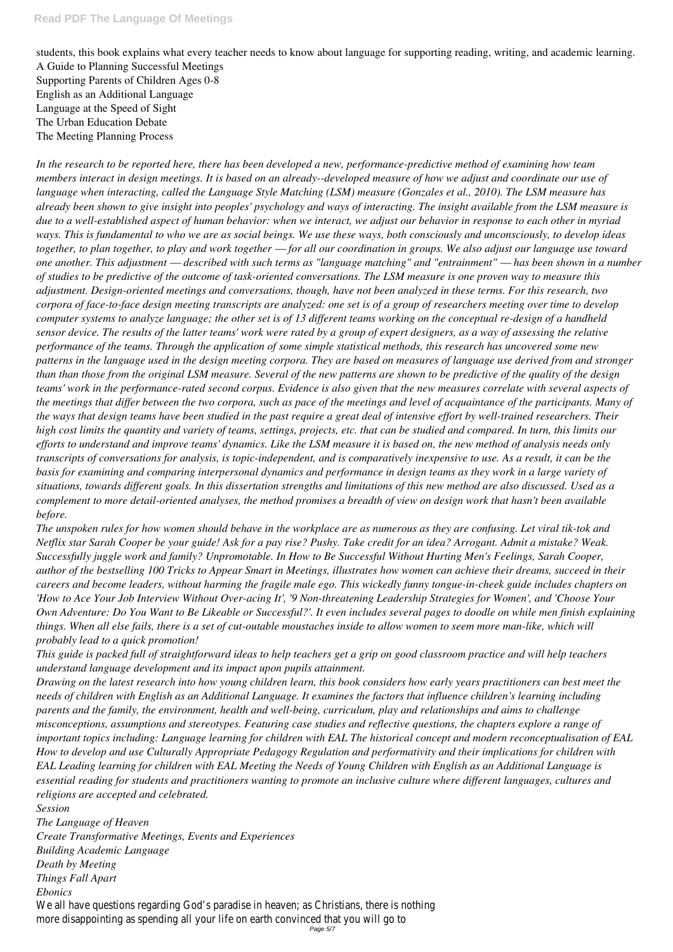students, this book explains what every teacher needs to know about language for supporting reading, writing, and academic learning. A Guide to Planning Successful Meetings Supporting Parents of Children Ages 0-8 English as an Additional Language Language at the Speed of Sight The Urban Education Debate The Meeting Planning Process

*In the research to be reported here, there has been developed a new, performance-predictive method of examining how team members interact in design meetings. It is based on an already--developed measure of how we adjust and coordinate our use of language when interacting, called the Language Style Matching (LSM) measure (Gonzales et al., 2010). The LSM measure has already been shown to give insight into peoples' psychology and ways of interacting. The insight available from the LSM measure is due to a well-established aspect of human behavior: when we interact, we adjust our behavior in response to each other in myriad ways. This is fundamental to who we are as social beings. We use these ways, both consciously and unconsciously, to develop ideas together, to plan together, to play and work together — for all our coordination in groups. We also adjust our language use toward one another. This adjustment — described with such terms as "language matching" and "entrainment" — has been shown in a number of studies to be predictive of the outcome of task-oriented conversations. The LSM measure is one proven way to measure this adjustment. Design-oriented meetings and conversations, though, have not been analyzed in these terms. For this research, two corpora of face-to-face design meeting transcripts are analyzed: one set is of a group of researchers meeting over time to develop computer systems to analyze language; the other set is of 13 different teams working on the conceptual re-design of a handheld sensor device. The results of the latter teams' work were rated by a group of expert designers, as a way of assessing the relative performance of the teams. Through the application of some simple statistical methods, this research has uncovered some new patterns in the language used in the design meeting corpora. They are based on measures of language use derived from and stronger than than those from the original LSM measure. Several of the new patterns are shown to be predictive of the quality of the design teams' work in the performance-rated second corpus. Evidence is also given that the new measures correlate with several aspects of the meetings that differ between the two corpora, such as pace of the meetings and level of acquaintance of the participants. Many of the ways that design teams have been studied in the past require a great deal of intensive effort by well-trained researchers. Their high cost limits the quantity and variety of teams, settings, projects, etc. that can be studied and compared. In turn, this limits our efforts to understand and improve teams' dynamics. Like the LSM measure it is based on, the new method of analysis needs only transcripts of conversations for analysis, is topic-independent, and is comparatively inexpensive to use. As a result, it can be the basis for examining and comparing interpersonal dynamics and performance in design teams as they work in a large variety of situations, towards different goals. In this dissertation strengths and limitations of this new method are also discussed. Used as a complement to more detail-oriented analyses, the method promises a breadth of view on design work that hasn't been available before.*

We all have questions regarding God's paradise in heaven; as Christians, there is nothing more disappointing as spending all your life on earth convinced that you will go to Page 5/7

*The unspoken rules for how women should behave in the workplace are as numerous as they are confusing. Let viral tik-tok and Netflix star Sarah Cooper be your guide! Ask for a pay rise? Pushy. Take credit for an idea? Arrogant. Admit a mistake? Weak. Successfully juggle work and family? Unpromotable. In How to Be Successful Without Hurting Men's Feelings, Sarah Cooper, author of the bestselling 100 Tricks to Appear Smart in Meetings, illustrates how women can achieve their dreams, succeed in their careers and become leaders, without harming the fragile male ego. This wickedly funny tongue-in-cheek guide includes chapters on 'How to Ace Your Job Interview Without Over-acing It', '9 Non-threatening Leadership Strategies for Women', and 'Choose Your Own Adventure: Do You Want to Be Likeable or Successful?'. It even includes several pages to doodle on while men finish explaining things. When all else fails, there is a set of cut-outable moustaches inside to allow women to seem more man-like, which will probably lead to a quick promotion!*

*This guide is packed full of straightforward ideas to help teachers get a grip on good classroom practice and will help teachers understand language development and its impact upon pupils attainment.*

*Drawing on the latest research into how young children learn, this book considers how early years practitioners can best meet the needs of children with English as an Additional Language. It examines the factors that influence children's learning including parents and the family, the environment, health and well-being, curriculum, play and relationships and aims to challenge*

*misconceptions, assumptions and stereotypes. Featuring case studies and reflective questions, the chapters explore a range of important topics including: Language learning for children with EAL The historical concept and modern reconceptualisation of EAL How to develop and use Culturally Appropriate Pedagogy Regulation and performativity and their implications for children with EAL Leading learning for children with EAL Meeting the Needs of Young Children with English as an Additional Language is essential reading for students and practitioners wanting to promote an inclusive culture where different languages, cultures and religions are accepted and celebrated.*

*Session*

*The Language of Heaven*

*Create Transformative Meetings, Events and Experiences*

*Building Academic Language*

*Death by Meeting*

*Things Fall Apart*

*Ebonics*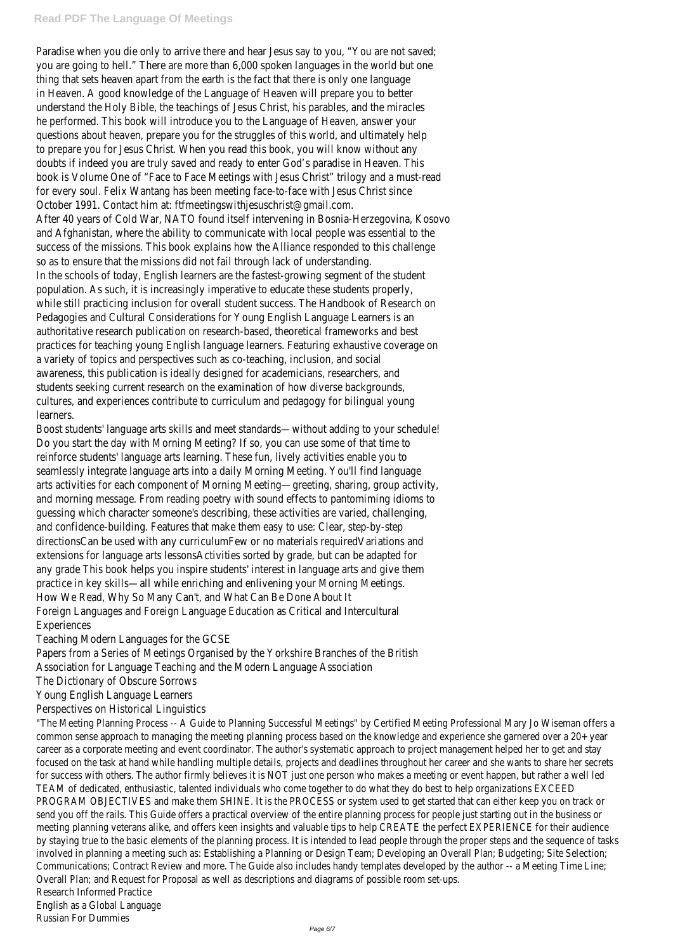Boost students' language arts skills and meet standards—without adding to your schedule! Do you start the day with Morning Meeting? If so, you can use some of that time to reinforce students' language arts learning. These fun, lively activities enable you to seamlessly integrate language arts into a daily Morning Meeting. You'll find language arts activities for each component of Morning Meeting—greeting, sharing, group activity, and morning message. From reading poetry with sound effects to pantomiming idioms to guessing which character someone's describing, these activities are varied, challenging, and confidence-building. Features that make them easy to use: Clear, step-by-step directionsCan be used with any curriculumFew or no materials requiredVariations and extensions for language arts lessonsActivities sorted by grade, but can be adapted for any grade This book helps you inspire students' interest in language arts and give them practice in key skills—all while enriching and enlivening your Morning Meetings. How We Read, Why So Many Can't, and What Can Be Done About It Foreign Languages and Foreign Language Education as Critical and Intercultural **Experiences** 

Paradise when you die only to arrive there and hear Jesus say to you, "You are not saved; you are going to hell." There are more than 6,000 spoken languages in the world but one thing that sets heaven apart from the earth is the fact that there is only one language in Heaven. A good knowledge of the Language of Heaven will prepare you to better understand the Holy Bible, the teachings of Jesus Christ, his parables, and the miracles he performed. This book will introduce you to the Language of Heaven, answer your questions about heaven, prepare you for the struggles of this world, and ultimately help to prepare you for Jesus Christ. When you read this book, you will know without any doubts if indeed you are truly saved and ready to enter God's paradise in Heaven. This book is Volume One of "Face to Face Meetings with Jesus Christ" trilogy and a must-read for every soul. Felix Wantang has been meeting face-to-face with Jesus Christ since October 1991. Contact him at: ftfmeetingswithjesuschrist@gmail.com. After 40 years of Cold War, NATO found itself intervening in Bosnia-Herzegovina, Kosovo and Afghanistan, where the ability to communicate with local people was essential to the success of the missions. This book explains how the Alliance responded to this challenge so as to ensure that the missions did not fail through lack of understanding. In the schools of today, English learners are the fastest-growing segment of the student population. As such, it is increasingly imperative to educate these students properly, while still practicing inclusion for overall student success. The Handbook of Research on Pedagogies and Cultural Considerations for Young English Language Learners is an authoritative research publication on research-based, theoretical frameworks and best practices for teaching young English language learners. Featuring exhaustive coverage on a variety of topics and perspectives such as co-teaching, inclusion, and social awareness, this publication is ideally designed for academicians, researchers, and students seeking current research on the examination of how diverse backgrounds, cultures, and experiences contribute to curriculum and pedagogy for bilingual young learners.

Teaching Modern Languages for the GCSE

Papers from a Series of Meetings Organised by the Yorkshire Branches of the British Association for Language Teaching and the Modern Language Association The Dictionary of Obscure Sorrows Young English Language Learners Perspectives on Historical Linguistics

"The Meeting Planning Process -- A Guide to Planning Successful Meetings" by Certified Meeting Professional Mary Jo Wiseman offers a common sense approach to managing the meeting planning process based on the knowledge and experience she garnered over a 20+ year career as a corporate meeting and event coordinator. The author's systematic approach to project management helped her to get and stay focused on the task at hand while handling multiple details, projects and deadlines throughout her career and she wants to share her seci for success with others. The author firmly believes it is NOT just one person who makes a meeting or event happen, but rather a well led TEAM of dedicated, enthusiastic, talented individuals who come together to do what they do best to help organizations EXCEED PROGRAM OBJECTIVES and make them SHINE. It is the PROCESS or system used to get started that can either keep you on track or send you off the rails. This Guide offers a practical overview of the entire planning process for people just starting out in the business or meeting planning veterans alike, and offers keen insights and valuable tips to help CREATE the perfect EXPERIENCE for their audience by staying true to the basic elements of the planning process. It is intended to lead people through the proper steps and the sequence of involved in planning a meeting such as: Establishing a Planning or Design Team; Developing an Overall Plan; Budgeting; Site Selection; Communications; Contract Review and more. The Guide also includes handy templates developed by the author -- a Meeting Time Line; Overall Plan; and Request for Proposal as well as descriptions and diagrams of possible room set-ups. Research Informed Practice English as a Global Language Russian For Dummies